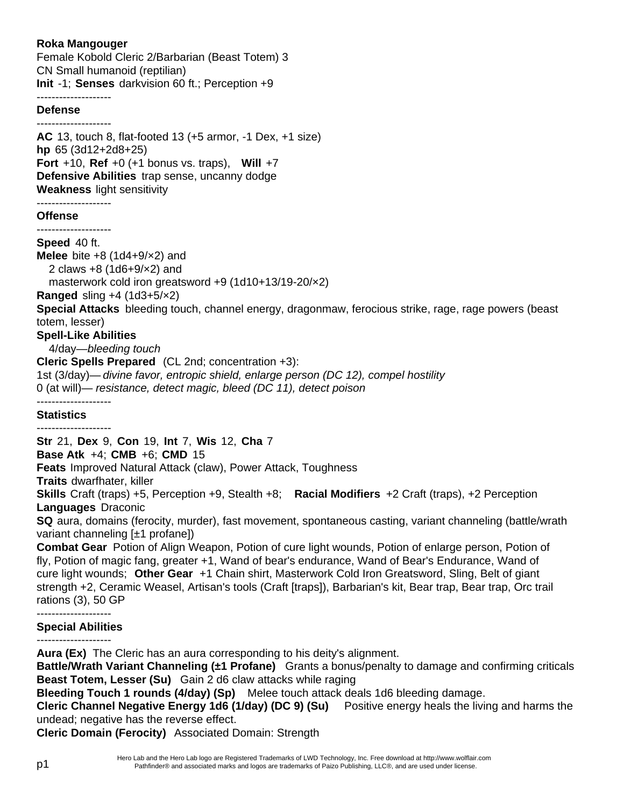# **Roka Mangouger**

Female Kobold Cleric 2/Barbarian (Beast Totem) 3 CN Small humanoid (reptilian) **Init** -1; **Senses** darkvision 60 ft.; Perception +9

## --------------------

### **Defense**

-------------------- **AC** 13, touch 8, flat-footed 13 (+5 armor, -1 Dex, +1 size) **hp** 65 (3d12+2d8+25) **Fort** +10, **Ref** +0 (+1 bonus vs. traps), **Will** +7 **Defensive Abilities** trap sense, uncanny dodge **Weakness** light sensitivity

#### -------------------- **Offense**

--------------------

**Speed** 40 ft.

**Melee** bite +8 (1d4+9/×2) and 2 claws +8 (1d6+9/×2) and masterwork cold iron greatsword +9 (1d10+13/19-20/×2) **Ranged** sling +4 (1d3+5/×2) **Special Attacks** bleeding touch, channel energy, dragonmaw, ferocious strike, rage, rage powers (beast totem, lesser) **Spell-Like Abilities** 4/day—*bleeding touch* **Cleric Spells Prepared** (CL 2nd; concentration +3): 1st (3/day)— *divine favor, entropic shield, enlarge person (DC 12), compel hostility*

0 (at will)— *resistance, detect magic, bleed (DC 11), detect poison*

## **Statistics**

--------------------

--------------------

**Str** 21, **Dex** 9, **Con** 19, **Int** 7, **Wis** 12, **Cha** 7

**Base Atk** +4;**CMB** +6; **CMD** 15

**Feats** Improved Natural Attack (claw), Power Attack, Toughness

**Traits** dwarfhater, killer

**Skills** Craft (traps) +5, Perception +9, Stealth +8; **Racial Modifiers** +2 Craft (traps), +2 Perception **Languages** Draconic

**SQ** aura, domains (ferocity, murder), fast movement, spontaneous casting, variant channeling (battle/wrath variant channeling [±1 profane])

**Combat Gear** Potion of Align Weapon, Potion of cure light wounds, Potion of enlarge person, Potion of fly, Potion of magic fang, greater +1, Wand of bear's endurance, Wand of Bear's Endurance, Wand of cure light wounds; **Other Gear** +1 Chain shirt, Masterwork Cold Iron Greatsword, Sling, Belt of giant strength +2, Ceramic Weasel, Artisan's tools (Craft [traps]), Barbarian's kit, Bear trap, Bear trap, Orc trail rations (3), 50 GP

#### -------------------- **Special Abilities**

--------------------

**Aura (Ex)** The Cleric has an aura corresponding to his deity's alignment.

**Battle/Wrath Variant Channeling (±1 Profane)** Grants a bonus/penalty to damage and confirming criticals **Beast Totem, Lesser (Su)** Gain 2 d6 claw attacks while raging

**Bleeding Touch 1 rounds (4/day) (Sp)** Melee touch attack deals 1d6 bleeding damage.

**Cleric Channel Negative Energy 1d6 (1/day) (DC 9) (Su)** Positive energy heals the living and harms the undead; negative has the reverse effect.

**Cleric Domain (Ferocity)** Associated Domain: Strength